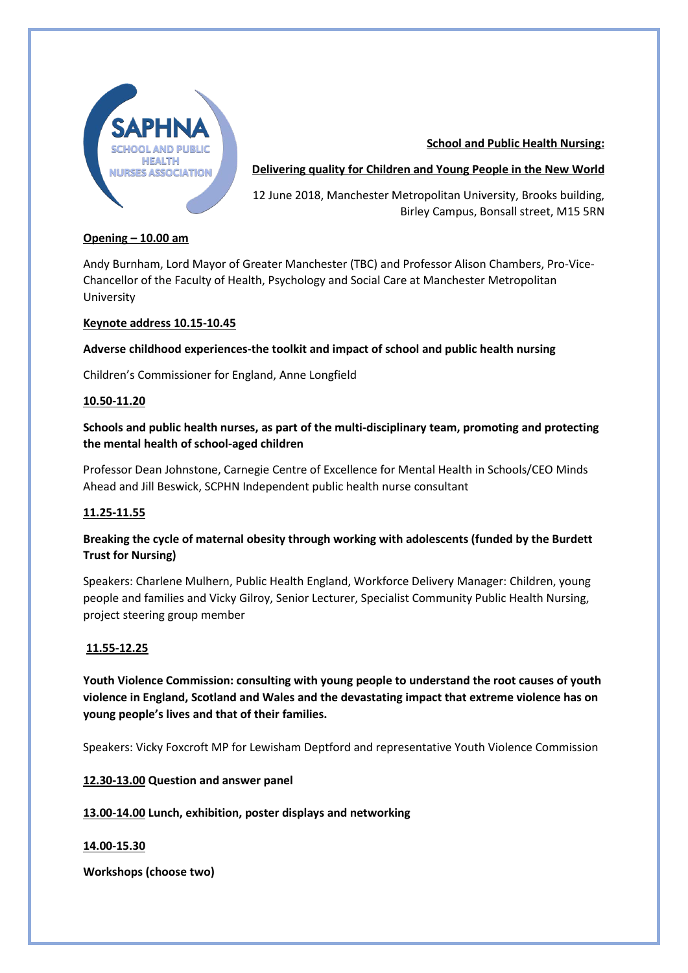

## **School and Public Health Nursing:**

## **Delivering quality for Children and Young People in the New World**

12 June 2018, Manchester Metropolitan University, Brooks building, Birley Campus, Bonsall street, M15 5RN

## **Opening – 10.00 am**

Andy Burnham, Lord Mayor of Greater Manchester (TBC) and Professor Alison Chambers, Pro-Vice-Chancellor of the Faculty of Health, Psychology and Social Care at Manchester Metropolitan University

#### **Keynote address 10.15-10.45**

## **Adverse childhood experiences-the toolkit and impact of school and public health nursing**

Children's Commissioner for England, Anne Longfield

#### **10.50-11.20**

# **Schools and public health nurses, as part of the multi-disciplinary team, promoting and protecting the mental health of school-aged children**

Professor Dean Johnstone, Carnegie Centre of Excellence for Mental Health in Schools/CEO Minds Ahead and Jill Beswick, SCPHN Independent public health nurse consultant

## **11.25-11.55**

# **Breaking the cycle of maternal obesity through working with adolescents (funded by the Burdett Trust for Nursing)**

Speakers: Charlene Mulhern, Public Health England, Workforce Delivery Manager: Children, young people and families and Vicky Gilroy, Senior Lecturer, Specialist Community Public Health Nursing, project steering group member

## **11.55-12.25**

**Youth Violence Commission: consulting with young people to understand the root causes of youth violence in England, Scotland and Wales and the devastating impact that extreme violence has on young people's lives and that of their families.**

Speakers: Vicky Foxcroft MP for Lewisham Deptford and representative Youth Violence Commission

**12.30-13.00 Question and answer panel**

**13.00-14.00 Lunch, exhibition, poster displays and networking**

#### **14.00-15.30**

**Workshops (choose two)**